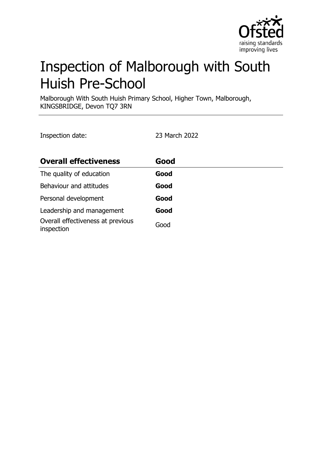

# Inspection of Malborough with South Huish Pre-School

Malborough With South Huish Primary School, Higher Town, Malborough, KINGSBRIDGE, Devon TQ7 3RN

Inspection date: 23 March 2022

| <b>Overall effectiveness</b>                    | Good |
|-------------------------------------------------|------|
| The quality of education                        | Good |
| Behaviour and attitudes                         | Good |
| Personal development                            | Good |
| Leadership and management                       | Good |
| Overall effectiveness at previous<br>inspection | Good |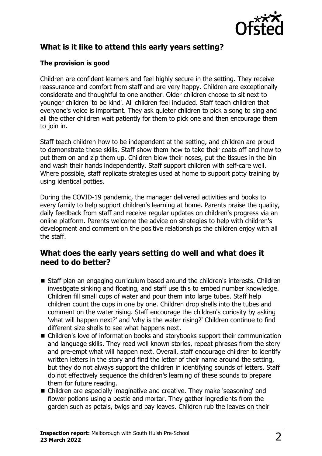

## **What is it like to attend this early years setting?**

#### **The provision is good**

Children are confident learners and feel highly secure in the setting. They receive reassurance and comfort from staff and are very happy. Children are exceptionally considerate and thoughtful to one another. Older children choose to sit next to younger children 'to be kind'. All children feel included. Staff teach children that everyone's voice is important. They ask quieter children to pick a song to sing and all the other children wait patiently for them to pick one and then encourage them to join in.

Staff teach children how to be independent at the setting, and children are proud to demonstrate these skills. Staff show them how to take their coats off and how to put them on and zip them up. Children blow their noses, put the tissues in the bin and wash their hands independently. Staff support children with self-care well. Where possible, staff replicate strategies used at home to support potty training by using identical potties.

During the COVID-19 pandemic, the manager delivered activities and books to every family to help support children's learning at home. Parents praise the quality, daily feedback from staff and receive regular updates on children's progress via an online platform. Parents welcome the advice on strategies to help with children's development and comment on the positive relationships the children enjoy with all the staff.

### **What does the early years setting do well and what does it need to do better?**

- Staff plan an engaging curriculum based around the children's interests. Children investigate sinking and floating, and staff use this to embed number knowledge. Children fill small cups of water and pour them into large tubes. Staff help children count the cups in one by one. Children drop shells into the tubes and comment on the water rising. Staff encourage the children's curiosity by asking 'what will happen next?' and 'why is the water rising?' Children continue to find different size shells to see what happens next.
- Children's love of information books and storybooks support their communication and language skills. They read well known stories, repeat phrases from the story and pre-empt what will happen next. Overall, staff encourage children to identify written letters in the story and find the letter of their name around the setting, but they do not always support the children in identifying sounds of letters. Staff do not effectively sequence the children's learning of these sounds to prepare them for future reading.
- Children are especially imaginative and creative. They make 'seasoning' and flower potions using a pestle and mortar. They gather ingredients from the garden such as petals, twigs and bay leaves. Children rub the leaves on their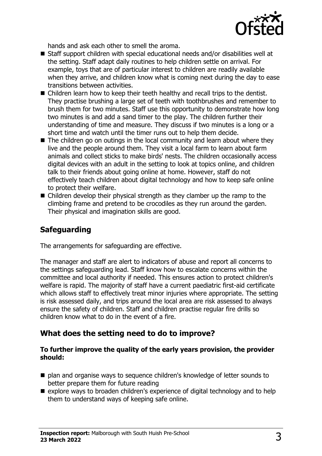

hands and ask each other to smell the aroma.

- $\blacksquare$  Staff support children with special educational needs and/or disabilities well at the setting. Staff adapt daily routines to help children settle on arrival. For example, toys that are of particular interest to children are readily available when they arrive, and children know what is coming next during the day to ease transitions between activities.
- $\blacksquare$  Children learn how to keep their teeth healthy and recall trips to the dentist. They practise brushing a large set of teeth with toothbrushes and remember to brush them for two minutes. Staff use this opportunity to demonstrate how long two minutes is and add a sand timer to the play. The children further their understanding of time and measure. They discuss if two minutes is a long or a short time and watch until the timer runs out to help them decide.
- $\blacksquare$  The children go on outings in the local community and learn about where they live and the people around them. They visit a local farm to learn about farm animals and collect sticks to make birds' nests. The children occasionally access digital devices with an adult in the setting to look at topics online, and children talk to their friends about going online at home. However, staff do not effectively teach children about digital technology and how to keep safe online to protect their welfare.
- $\blacksquare$  Children develop their physical strength as they clamber up the ramp to the climbing frame and pretend to be crocodiles as they run around the garden. Their physical and imagination skills are good.

## **Safeguarding**

The arrangements for safeguarding are effective.

The manager and staff are alert to indicators of abuse and report all concerns to the settings safeguarding lead. Staff know how to escalate concerns within the committee and local authority if needed. This ensures action to protect children's welfare is rapid. The majority of staff have a current paediatric first-aid certificate which allows staff to effectively treat minor injuries where appropriate. The setting is risk assessed daily, and trips around the local area are risk assessed to always ensure the safety of children. Staff and children practise regular fire drills so children know what to do in the event of a fire.

### **What does the setting need to do to improve?**

#### **To further improve the quality of the early years provision, the provider should:**

- plan and organise ways to sequence children's knowledge of letter sounds to better prepare them for future reading
- $\blacksquare$  explore ways to broaden children's experience of digital technology and to help them to understand ways of keeping safe online.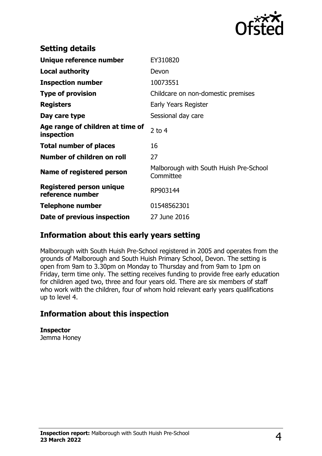

| <b>Setting details</b>                              |                                                     |
|-----------------------------------------------------|-----------------------------------------------------|
| Unique reference number                             | EY310820                                            |
| <b>Local authority</b>                              | Devon                                               |
| <b>Inspection number</b>                            | 10073551                                            |
| <b>Type of provision</b>                            | Childcare on non-domestic premises                  |
| <b>Registers</b>                                    | Early Years Register                                |
| Day care type                                       | Sessional day care                                  |
| Age range of children at time of<br>inspection      | 2 to $4$                                            |
| <b>Total number of places</b>                       | 16                                                  |
| Number of children on roll                          | 27                                                  |
| Name of registered person                           | Malborough with South Huish Pre-School<br>Committee |
| <b>Registered person unique</b><br>reference number | RP903144                                            |
| <b>Telephone number</b>                             | 01548562301                                         |
| Date of previous inspection                         | 27 June 2016                                        |

## **Information about this early years setting**

Malborough with South Huish Pre-School registered in 2005 and operates from the grounds of Malborough and South Huish Primary School, Devon. The setting is open from 9am to 3.30pm on Monday to Thursday and from 9am to 1pm on Friday, term time only. The setting receives funding to provide free early education for children aged two, three and four years old. There are six members of staff who work with the children, four of whom hold relevant early years qualifications up to level 4.

## **Information about this inspection**

**Inspector** Jemma Honey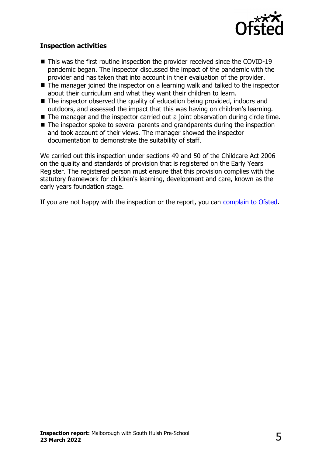

#### **Inspection activities**

- $\blacksquare$  This was the first routine inspection the provider received since the COVID-19 pandemic began. The inspector discussed the impact of the pandemic with the provider and has taken that into account in their evaluation of the provider.
- $\blacksquare$  The manager joined the inspector on a learning walk and talked to the inspector about their curriculum and what they want their children to learn.
- $\blacksquare$  The inspector observed the quality of education being provided, indoors and outdoors, and assessed the impact that this was having on children's learning.
- $\blacksquare$  The manager and the inspector carried out a joint observation during circle time.
- The inspector spoke to several parents and grandparents during the inspection and took account of their views. The manager showed the inspector documentation to demonstrate the suitability of staff.

We carried out this inspection under sections 49 and 50 of the Childcare Act 2006 on the quality and standards of provision that is registered on the Early Years Register. The registered person must ensure that this provision complies with the statutory framework for children's learning, development and care, known as the early years foundation stage.

If you are not happy with the inspection or the report, you can [complain to Ofsted](http://www.gov.uk/complain-ofsted-report).